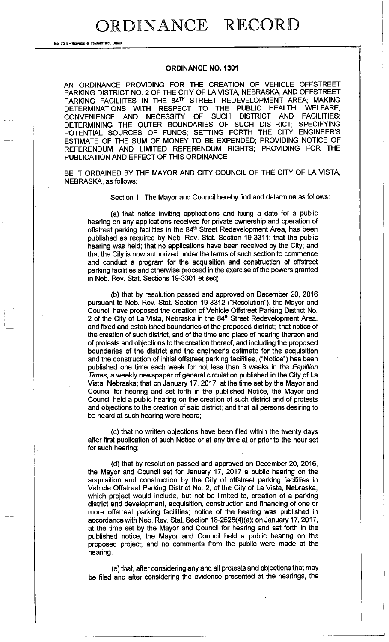RDINANCE RECORD

No. 72 8-REOFIELD & COMPANY INC., OR

## **ORDINANCE NO. 1301**

AN ORDINANCE PROVIDING FOR THE CREATION OF VEHICLE OFFSTREET PARKING DISTRICT NO. 2 OF THE CITY OF LA VISTA, NEBRASKA, AND OFFSTREET PARKING FACILIITES IN THE 84TH STREET REDEVELOPMENT AREA; MAKING DETERMINATIONS WITH RESPECT TO THE PUBLIC HEALTH, WELFARE, CONVENIENCE AND NECESSITY OF SUCH DISTRICT AND FACILITIES; DETERMINING THE OUTER BOUNDARIES OF SUCH DISTRICT; SPECIFYING POTENTIAL SOURCES OF FUNDS; SETTING FORTH THE CITY ENGINEER'S ESTIMATE OF THE SUM OF MONEY TO BE EXPENDED; PROVIDING NOTICE OF REFERENDUM AND LIMITED REFERENDUM RIGHTS; PROVIDING FOR THE PUBLICATION AND EFFECT OF THIS ORDINANCE

BE IT ORDAINED BY THE MAYOR AND CITY COUNCIL OF THE CITY OF LA VISTA, NEBRASKA, as follows:

Section 1. The Mayor and Council hereby find and determine as follows:

(a) that notice inviting applications and fixing a date for a public hearing on any applications received for private ownership and operation of offstreet parking facilities in the 84<sup>th</sup> Street Redevelopment Area, has been published as required by Neb. Rev. Stat. Section 19-3311; that the public hearing was held; that no applications have been received by the City; and that the City is now authorized under the terms of such section to commence and conduct a program for the acquisition and construction of offstreet parking facilities and otherwise proceed in the exercise of the powers granted in Neb. Rev. Stat. Sections 19-3301 et seq;

(b) that by resolution passed and approved on December 20, 2016 pursuant to Neb. Rev. Stat. Section 19-3312 ("Resolution"), the Mayor and Council have proposed the creation of Vehicle Offstreet Parking District No. 2 of the City of La Vista, Nebraska in the 84<sup>th</sup> Street Redevelopment Area, and fixed and established boundaries of the proposed district; that notice of the creation of such district, and of the time and place of hearing thereon and of protests and objections to the creation thereof, and including the proposed boundaries of the district and the engineer's estimate for the acquisition and the construction of initial offstreet parking facilities, ("Notice") has been published one time each week for not less than 3 weeks in the *Papillion Times,* a weekly newspaper of general circulation published in the City of La Vista, Nebraska; that on January 17, 2017, at the time set by the Mayor and Council for hearing and set forth in the published Notice, the Mayor and Council held a public hearing on the creation of such district and of protests and objections to the creation of said district; and that all persons desiring to be heard at such hearing were heard;

(c) that no written objections have been filed within the twenty days after first publication of such Notice or at any time at or prior to the hour set for such hearing;

(d) that by resolution passed and approved on December 20, 2016, the Mayor and Council set for January 17, 2017 a public hearing on the acquisition and construction by the City of offstreet parking facilities in Vehicle Offstreet Parking District No. 2, of the City of La Vista, Nebraska, which project would include, but not be limited to, creation of a parking district and development, acquisition, construction and financing of one or more offstreet parking facilities; notice of the hearing was published in accordance with Neb. Rev. Stat. Section 18-2528(4)(a); on January 17,2017, at the time set by the Mayor and Council for hearing and set forth in the published notice, the Mayor and Council held a public hearing on the proposed project; and no comments from the public were made at the hearing.

(e) that, after considering any and all protests and objections that may be filed and after considering the evidence presented at the hearings, the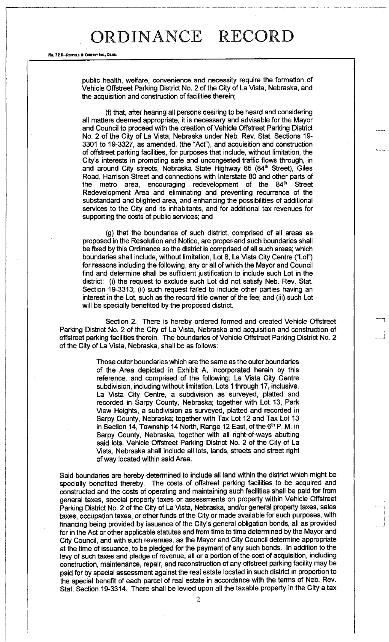## ORDINANCE RECORD

No. 72 B-REDFIELD & COMPANY INC., OMAHA

public health, welfare, convenience and necessity require the formation of Vehicle Offstreet Parking District No. 2 of the City of La Vista, Nebraska, and the acquisition and construction of facilities therein;

(f) that, after hearing all persons desiring to be heard and considering all matters deemed appropriate, it is necessary and advisable for the Mayor and Council to proceed with the creation of Vehicle Offstreet Parking District No. 2 of the City of La Vista, Nebraska under Neb. Rev. Stat. Sections 19- 3301 to 19-3327, as amended, (the "Act"), and acquisition and construction of offstreet parking facilities, for purposes that include, without limitation, the City's interests in promoting safe and uncongested traffic flows through, in and around City streets, Nebraska State Highway 85 (84<sup>th</sup> Street), Giles Road, Harrison Street and connections with Interstate 80 and other parts of the metro area, encouraging redevelopment of the  $84<sup>th</sup>$  Street Redevelopment Area and eliminating and preventing recurrence of the substandard and blighted area, and enhancing the possibilities of additional services to the City and its inhabitants, and for additional tax revenues for supporting the costs of public services; and

(g) that the boundaries of such district, comprised of all areas as proposed in the Resolution and Notice, are proper and such boundaries shall be fixed by this Ordinance so the district is comprised of all such areas; which boundaries shall include, without limitation, Lot 8, La Vista City Centre ("Lot") for reasons including the following, any or all of which the Mayor and Council find and determine shall be sufficient justification to include such Lot in the district: (i) the request to exclude such Lot did not satisfy Neb. Rev. Stat. Section 19-3313; (ii) such request failed to include other parties having an interest in the Lot, such as the record title owner of the fee; and (iii) such Lot will be specially benefited by the proposed district.

Section 2. There is hereby ordered formed and created Vehicle Offstreet Parking District No. 2 of the City of La Vista, Nebraska and acquisition and construction of offstreet parking facilities therein. The boundaries of Vehicle Offstreet Parking District No. 2 of the City of La Vista, Nebraska, shall be as follows:

> Those outer boundaries which are the same as the outer boundaries of the Area depicted in Exhibit A, incorporated herein by this reference, and comprised of the following: La Vista City Centre subdivision, including without limitation, Lots 1 through 17, inclusive, La Vista City Centre, a subdivision as surveyed, platted and recorded in Sarpy County, Nebraska; together with Lot 13, Park View Heights, a subdivision as surveyed, platted and recorded in Sarpy County, Nebraska; together with Tax Lot 12 and Tax Lot 13 in Section 14, Township 14 North, Range 12 East, of the 6<sup>th</sup> P. M. in Sarpy County, Nebraska, together with all right-of-ways abutting said lots. Vehicle Offstreet Parking District No. 2 of the City of La Vista, Nebraska shall include all lots, lands, streets and street right of way located within said Area.

Said boundaries are hereby determined to include all land within the district which might be specially benefited thereby. The costs of offstreet parking facilities to be acquired and constructed and the costs of operating and maintaining such facilities shall be paid for from general taxes, special property taxes or assessments on property within Vehicle Offstreet Parking District No. 2 of the City of La Vista, Nebraska, and/or general property taxes, sales taxes, occupation taxes, or other funds of the City or made available for such purposes, with financing being provided by issuance of the City's general obligation bonds, all as provided for in the Act or other applicable statutes and from time to time determined by the Mayor and City Council, and with such revenues, as the Mayor and City Council determine appropriate at the time of issuance, to be pledged for the payment of any such bonds. In addition to the levy of such taxes and pledge of revenue, all or a portion of the cost of acquisition, including construction, maintenance, repair, and reconstruction of any offstreet parking facility may be paid for by special assessment against the real estate located in such district in proportion to the special benefit of each parcel of real estate in accordance with the terms of Neb. Rev. Stat. Section 19-3314. There shall be levied upon all the taxable property in the City a tax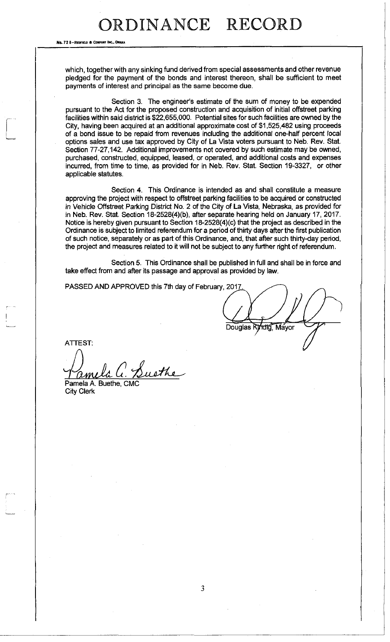## ORDINANCE RECORD

No. 72 6-Repeated & Contains Inc.

which, together with any sinking fund derived from special assessments and other revenue pledged for the payment of the bonds and interest thereon, shall be sufficient to meet payments of interest and principal as the same become due.

Section 3. The engineer's estimate of the sum of money to be expended pursuant to the Act for the proposed construction and acquisition of initial offstreet parking facilities within said district is \$22,655,000. Potential sites for such facilities are owned by the City, having been acquired at an additional approximate cost of \$1,525,482 using proceeds of a bond issue to be repaid from revenues including the additional one-half percent local options sales and use tax approved by City of La Vista voters pursuant to Neb. Rev. Stat. Section 77-27,142. Additional improvements not covered by such estimate may be owned, purchased, constructed, equipped, leased, or operated, and additional costs and expenses incurred, from time to time, as provided for in Neb. Rev. Stat. Section 19-3327, or other applicable statutes.

Section 4. This Ordinance is intended as and shall constitute a measure approving the project with respect to offstreet parking facilities to be acquired or constructed in Vehicle Offstreet Parking District No. 2 of the City of La Vista, Nebraska, as provided for in Neb. Rev. Stat. Section 18-2528(4)(b), after separate hearing held on January 17, 2017. Notice is hereby given pursuant to Section 18-2528(4)(c) that the project as described in the Ordinance is subject to limited referendum for a period of thirty days after the first publication of such notice, separately or as part of this Ordinance, and, that after such thirty-day period, the project and measures related to it will not be subject to any further right of referendum.

Section 5. This Ordinance shall be published in full and shall be in force and take effect from and after its passage and approval as provided by law.

PASSED AND APPROVED this 7th day of February, 2017.

Douglas Kindig, Mayor

**ATTEST:** 

Suethe <u>amela</u> Pamela A. Buethe, CMO

City Clerk